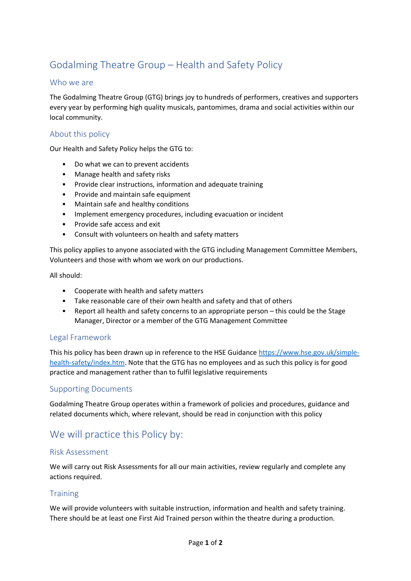# Godalming Theatre Group – Health and Safety Policy

## Who we are

The Godalming Theatre Group (GTG) brings joy to hundreds of performers, creatives and supporters every year by performing high quality musicals, pantomimes, drama and social activities within our local community.

#### About this policy

Our Health and Safety Policy helps the GTG to:

- Do what we can to prevent accidents
- Manage health and safety risks
- Provide clear instructions, information and adequate training
- Provide and maintain safe equipment
- Maintain safe and healthy conditions
- Implement emergency procedures, including evacuation or incident
- Provide safe access and exit
- Consult with volunteers on health and safety matters

This policy applies to anyone associated with the GTG including Management Committee Members, Volunteers and those with whom we work on our productions.

All should:

- Cooperate with health and safety matters
- Take reasonable care of their own health and safety and that of others
- Report all health and safety concerns to an appropriate person this could be the Stage Manager, Director or a member of the GTG Management Committee

#### Legal Framework

This his policy has been drawn up in reference to the HSE Guidanc[e https://www.hse.gov.uk/simple](https://www.hse.gov.uk/simple-health-safety/index.htm)[health-safety/index.htm.](https://www.hse.gov.uk/simple-health-safety/index.htm) Note that the GTG has no employees and as such this policy is for good practice and management rather than to fulfil legislative requirements

#### Supporting Documents

Godalming Theatre Group operates within a framework of policies and procedures, guidance and related documents which, where relevant, should be read in conjunction with this policy

## We will practice this Policy by:

#### Risk Assessment

We will carry out Risk Assessments for all our main activities, review regularly and complete any actions required.

#### **Training**

We will provide volunteers with suitable instruction, information and health and safety training. There should be at least one First Aid Trained person within the theatre during a production.